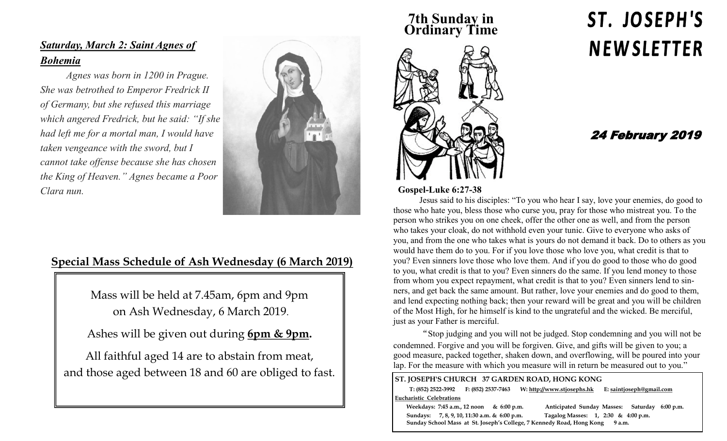#### *Saturday, March 2: Saint Agnes of Bohemia*

*Agnes was born in 1200 in Prague. She was betrothed to Emperor Fredrick II of Germany, but she refused this marriage which angered Fredrick, but he said: "If she had left me for a mortal man, I would have taken vengeance with the sword, but I cannot take offense because she has chosen the King of Heaven." Agnes became a Poor Clara nun.* 

#### **Special Mass Schedule of Ash Wednesday (6 March 2019)**

Mass will be held at 7.45am, 6pm and 9pm on Ash Wednesday, 6 March 2019.

Ashes will be given out during **6pm & 9pm.**

All faithful aged 14 are to abstain from meat, and those aged between 18 and 60 are obliged to fast.

#### **7th Sunday in Ordinary Time**



#### **Gospel-Luke 6:27-38**

Jesus said to his disciples: "To you who hear I say, love your enemies, do good to those who hate you, bless those who curse you, pray for those who mistreat you. To the person who strikes you on one cheek, offer the other one as well, and from the person who takes your cloak, do not withhold even your tunic. Give to everyone who asks of you, and from the one who takes what is yours do not demand it back. Do to others as you would have them do to you. For if you love those who love you, what credit is that to you? Even sinners love those who love them. And if you do good to those who do good to you, what credit is that to you? Even sinners do the same. If you lend money to those from whom you expect repayment, what credit is that to you? Even sinners lend to sinners, and get back the same amount. But rather, love your enemies and do good to them, and lend expecting nothing back; then your reward will be great and you will be children of the Most High, for he himself is kind to the ungrateful and the wicked. Be merciful, just as your Father is merciful.

"Stop judging and you will not be judged. Stop condemning and you will not be condemned. Forgive and you will be forgiven. Give, and gifts will be given to you; a good measure, packed together, shaken down, and overflowing, will be poured into your lap. For the measure with which you measure will in return be measured out to you."

| ST. JOSEPH'S CHURCH 37 GARDEN ROAD, HONG KONG                                   |                                              |                                         |  |  |                                     |                                     |  |                          |             |  |
|---------------------------------------------------------------------------------|----------------------------------------------|-----------------------------------------|--|--|-------------------------------------|-------------------------------------|--|--------------------------|-------------|--|
|                                                                                 |                                              | $T: (852)$ 2522-3992 F: (852) 2537-7463 |  |  | W: http://www.stjosephs.hk          |                                     |  | E: saintjoseph@gmail.com |             |  |
| <b>Eucharistic Celebrations</b>                                                 |                                              |                                         |  |  |                                     |                                     |  |                          |             |  |
| Weekdays: 7:45 a.m., 12 noon & 6:00 p.m.                                        |                                              |                                         |  |  | Anticipated Sunday Masses: Saturday |                                     |  |                          | $6:00$ p.m. |  |
|                                                                                 | Sundays: 7, 8, 9, 10, 11:30 a.m. & 6:00 p.m. |                                         |  |  |                                     | Tagalog Masses: 1, 2:30 & 4:00 p.m. |  |                          |             |  |
| Sunday School Mass at St. Joseph's College, 7 Kennedy Road, Hong Kong<br>9 a.m. |                                              |                                         |  |  |                                     |                                     |  |                          |             |  |

# ST. JOSEPH'S **NEWSLETTER**

### 24 February 2019